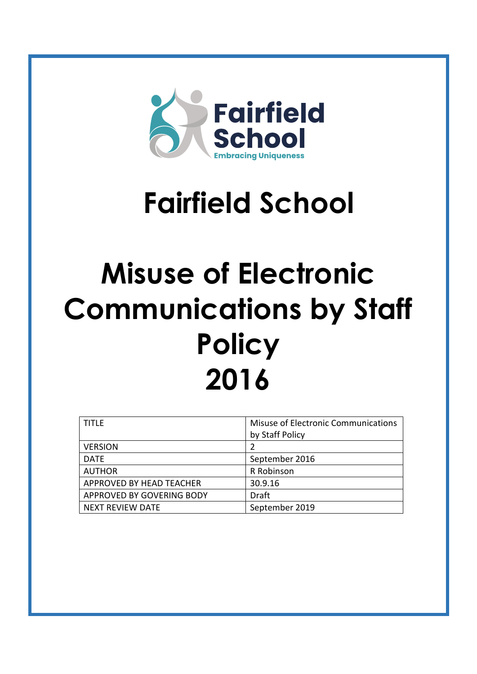

# **Fairfield School**

## **Misuse of Electronic Communications by Staff Policy 2016**

| <b>TITLF</b>              | Misuse of Electronic Communications<br>by Staff Policy |  |
|---------------------------|--------------------------------------------------------|--|
| <b>VERSION</b>            |                                                        |  |
| <b>DATF</b>               | September 2016                                         |  |
| <b>AUTHOR</b>             | R Robinson                                             |  |
| APPROVED BY HEAD TEACHER  | 30.9.16                                                |  |
| APPROVED BY GOVERING BODY | <b>Draft</b>                                           |  |
| NEXT REVIEW DATE          | September 2019                                         |  |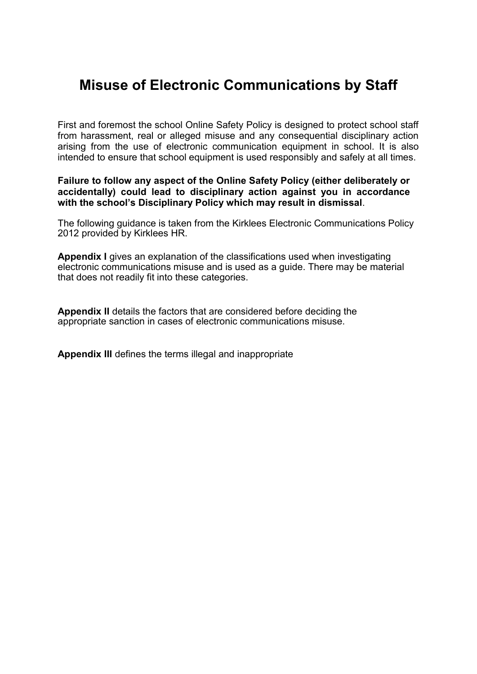## **Misuse of Electronic Communications by Staff**

First and foremost the school Online Safety Policy is designed to protect school staff from harassment, real or alleged misuse and any consequential disciplinary action arising from the use of electronic communication equipment in school. It is also intended to ensure that school equipment is used responsibly and safely at all times.

#### **Failure to follow any aspect of the Online Safety Policy (either deliberately or accidentally) could lead to disciplinary action against you in accordance with the school's Disciplinary Policy which may result in dismissal**.

The following guidance is taken from the Kirklees Electronic Communications Policy 2012 provided by Kirklees HR.

**Appendix I** gives an explanation of the classifications used when investigating electronic communications misuse and is used as a guide. There may be material that does not readily fit into these categories.

**Appendix II** details the factors that are considered before deciding the appropriate sanction in cases of electronic communications misuse.

**Appendix III** defines the terms illegal and inappropriate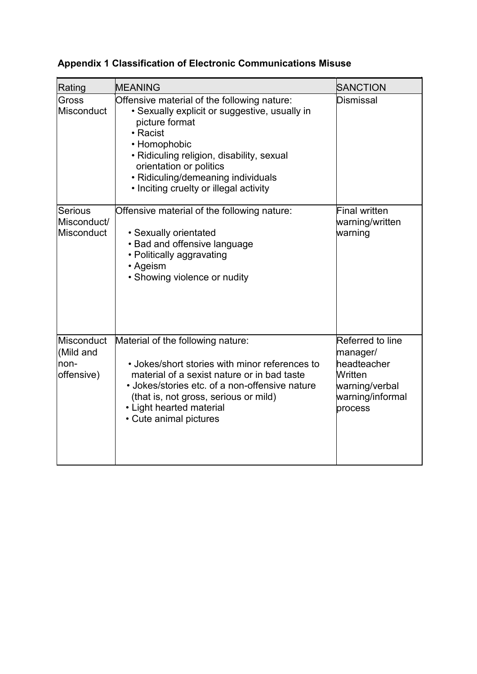| Rating                                        | MEANING                                                                                                                                                                                                                                                                                            | <b>SANCTION</b>                                                                                         |
|-----------------------------------------------|----------------------------------------------------------------------------------------------------------------------------------------------------------------------------------------------------------------------------------------------------------------------------------------------------|---------------------------------------------------------------------------------------------------------|
| Gross<br>Misconduct                           | Offensive material of the following nature:<br>• Sexually explicit or suggestive, usually in<br>picture format<br>• Racist<br>• Homophobic<br>· Ridiculing religion, disability, sexual<br>orientation or politics<br>• Ridiculing/demeaning individuals<br>• Inciting cruelty or illegal activity | <b>Dismissal</b>                                                                                        |
| <b>Serious</b><br>Misconduct/<br>Misconduct   | Offensive material of the following nature:<br>• Sexually orientated<br>• Bad and offensive language<br>• Politically aggravating<br>• Ageism<br>• Showing violence or nudity                                                                                                                      | <b>Final written</b><br>warning/written<br>warning                                                      |
| Misconduct<br>(Mild and<br>non-<br>offensive) | Material of the following nature:<br>• Jokes/short stories with minor references to<br>material of a sexist nature or in bad taste<br>• Jokes/stories etc. of a non-offensive nature<br>(that is, not gross, serious or mild)<br>• Light hearted material<br>• Cute animal pictures                | Referred to line<br>manager/<br>headteacher<br>Written<br>warning/verbal<br>warning/informal<br>process |

### **Appendix 1 Classification of Electronic Communications Misuse**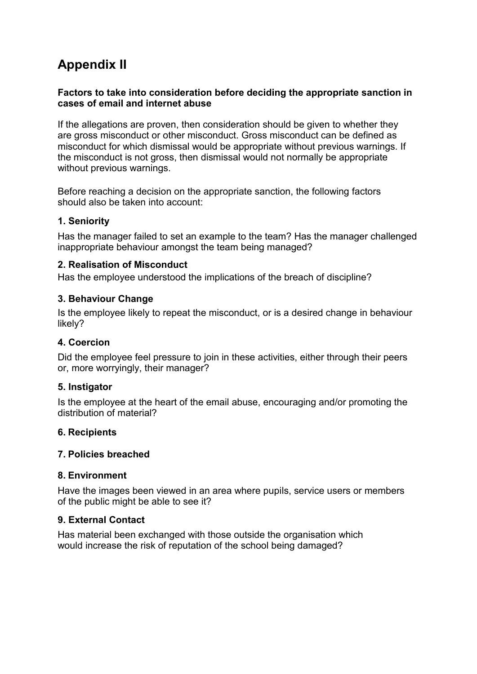## **Appendix II**

#### **Factors to take into consideration before deciding the appropriate sanction in cases of email and internet abuse**

If the allegations are proven, then consideration should be given to whether they are gross misconduct or other misconduct. Gross misconduct can be defined as misconduct for which dismissal would be appropriate without previous warnings. If the misconduct is not gross, then dismissal would not normally be appropriate without previous warnings.

Before reaching a decision on the appropriate sanction, the following factors should also be taken into account:

#### **1. Seniority**

Has the manager failed to set an example to the team? Has the manager challenged inappropriate behaviour amongst the team being managed?

#### **2. Realisation of Misconduct**

Has the employee understood the implications of the breach of discipline?

#### **3. Behaviour Change**

Is the employee likely to repeat the misconduct, or is a desired change in behaviour likely?

#### **4. Coercion**

Did the employee feel pressure to join in these activities, either through their peers or, more worryingly, their manager?

#### **5. Instigator**

Is the employee at the heart of the email abuse, encouraging and/or promoting the distribution of material?

#### **6. Recipients**

#### **7. Policies breached**

#### **8. Environment**

Have the images been viewed in an area where pupils, service users or members of the public might be able to see it?

#### **9. External Contact**

Has material been exchanged with those outside the organisation which would increase the risk of reputation of the school being damaged?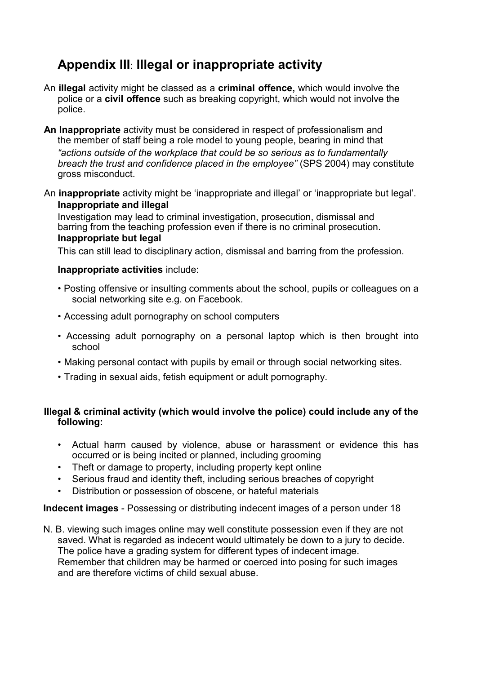### **Appendix III**: **Illegal or inappropriate activity**

- An **illegal** activity might be classed as a **criminal offence,** which would involve the police or a **civil offence** such as breaking copyright, which would not involve the police.
- **An Inappropriate** activity must be considered in respect of professionalism and the member of staff being a role model to young people, bearing in mind that *"actions outside of the workplace that could be so serious as to fundamentally breach the trust and confidence placed in the employee"* (SPS 2004) may constitute gross misconduct.
- An **inappropriate** activity might be 'inappropriate and illegal' or 'inappropriate but legal'. **Inappropriate and illegal**

Investigation may lead to criminal investigation, prosecution, dismissal and barring from the teaching profession even if there is no criminal prosecution. **Inappropriate but legal**

This can still lead to disciplinary action, dismissal and barring from the profession.

#### **Inappropriate activities** include:

- Posting offensive or insulting comments about the school, pupils or colleagues on a social networking site e.g. on Facebook.
- Accessing adult pornography on school computers
- Accessing adult pornography on a personal laptop which is then brought into school
- Making personal contact with pupils by email or through social networking sites.
- Trading in sexual aids, fetish equipment or adult pornography.

#### **Illegal & criminal activity (which would involve the police) could include any of the following:**

- Actual harm caused by violence, abuse or harassment or evidence this has occurred or is being incited or planned, including grooming
- Theft or damage to property, including property kept online
- Serious fraud and identity theft, including serious breaches of copyright
- Distribution or possession of obscene, or hateful materials

**Indecent images** - Possessing or distributing indecent images of a person under 18

N. B. viewing such images online may well constitute possession even if they are not saved. What is regarded as indecent would ultimately be down to a jury to decide. The police have a grading system for different types of indecent image. Remember that children may be harmed or coerced into posing for such images and are therefore victims of child sexual abuse.